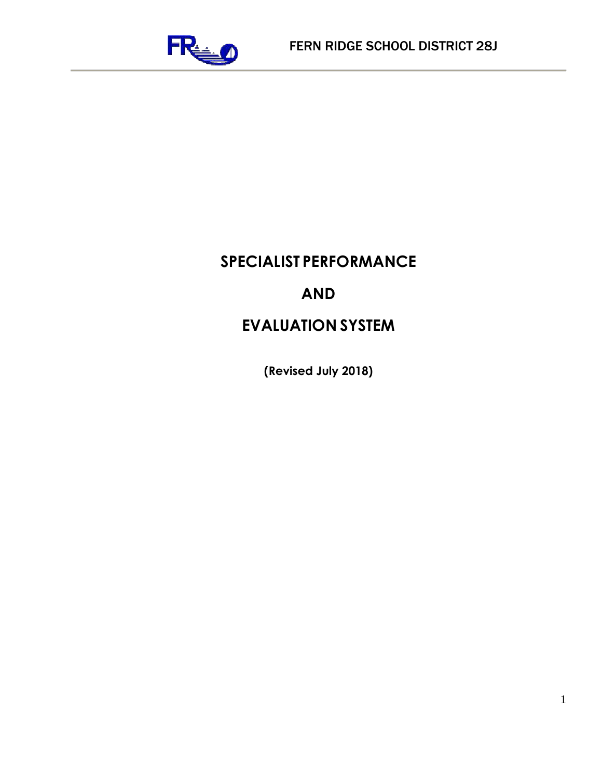

# **SPECIALIST PERFORMANCE**

# **AND**

# **EVALUATION SYSTEM**

**(Revised July 2018)**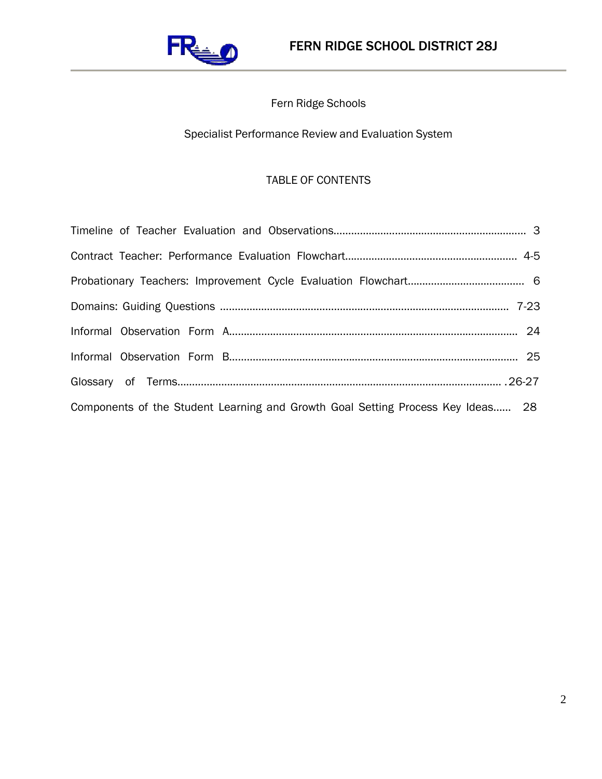

# Fern Ridge Schools

# Specialist Performance Review and Evaluation System

## TABLE OF CONTENTS

| Components of the Student Learning and Growth Goal Setting Process Key Ideas 28 |  |
|---------------------------------------------------------------------------------|--|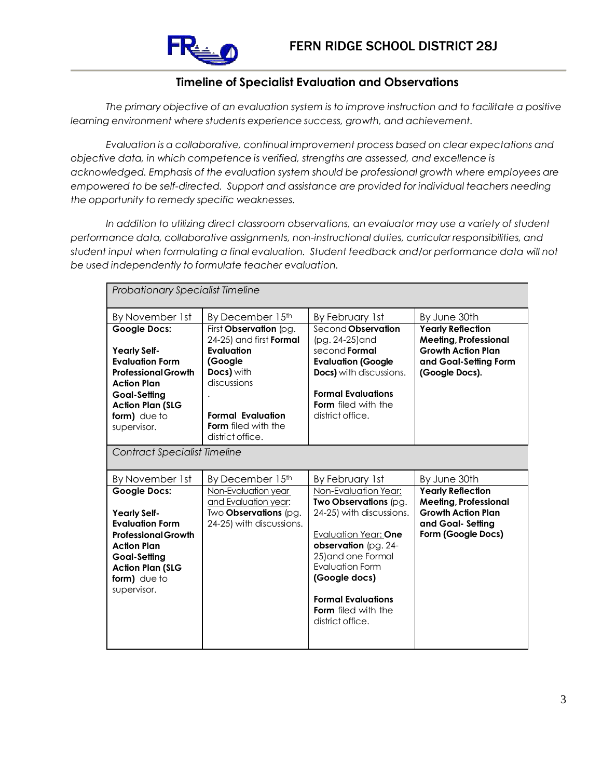

## **Timeline of Specialist Evaluation and Observations**

*The primary objective of an evaluation system is to improve instruction and to facilitate a positive learning environment where students experience success, growth, and achievement.*

*Evaluation is a collaborative, continual improvement process based on clear expectations and objective data, in which competence is verified, strengths are assessed, and excellence is acknowledged. Emphasis of the evaluation system should be professional growth where employees are empowered to be self-directed. Support and assistance are provided for individual teachers needing the opportunity to remedy specific weaknesses.*

*In addition to utilizing direct classroom observations, an evaluator may use a variety of student performance data, collaborative assignments, non-instructional duties, curricular responsibilities, and student input when formulating a final evaluation. Student feedback and/or performance data will not be used independently to formulate teacher evaluation.*

| <b>Probationary Specialist Timeline</b>                                                                                                                                                            |                                                                                                                                                                                       |                                                                                                                                                                                                                                                                    |                                                                                                                                  |
|----------------------------------------------------------------------------------------------------------------------------------------------------------------------------------------------------|---------------------------------------------------------------------------------------------------------------------------------------------------------------------------------------|--------------------------------------------------------------------------------------------------------------------------------------------------------------------------------------------------------------------------------------------------------------------|----------------------------------------------------------------------------------------------------------------------------------|
| By November 1st                                                                                                                                                                                    | By December 15th                                                                                                                                                                      | By February 1st                                                                                                                                                                                                                                                    | By June 30th                                                                                                                     |
| <b>Google Docs:</b><br><b>Yearly Self-</b><br><b>Evaluation Form</b><br><b>Professional Growth</b><br><b>Action Plan</b><br>Goal-Setting<br><b>Action Plan (SLG</b><br>form) due to<br>supervisor. | First Observation (pg.<br>24-25) and first Formal<br>Evaluation<br>(Google<br>Docs) with<br>discussions<br><b>Formal Evaluation</b><br><b>Form</b> filed with the<br>district office. | Second Observation<br>(pg. 24-25) and<br>second <b>Formal</b><br><b>Evaluation (Google</b><br><b>Docs)</b> with discussions.<br><b>Formal Evaluations</b><br>Form filed with the<br>district office.                                                               | <b>Yearly Reflection</b><br><b>Meeting, Professional</b><br><b>Growth Action Plan</b><br>and Goal-Setting Form<br>(Google Docs). |
| <b>Contract Specialist Timeline</b>                                                                                                                                                                |                                                                                                                                                                                       |                                                                                                                                                                                                                                                                    |                                                                                                                                  |
| By November 1st                                                                                                                                                                                    | By December 15th                                                                                                                                                                      | By February 1st                                                                                                                                                                                                                                                    | By June 30th                                                                                                                     |
| <b>Google Docs:</b><br><b>Yearly Self-</b><br><b>Evaluation Form</b><br><b>Professional Growth</b><br><b>Action Plan</b><br>Goal-Setting<br><b>Action Plan (SLG</b><br>form) due to<br>supervisor. | Non-Evaluation year<br>and Evaluation year:<br>Two Observations (pg.<br>24-25) with discussions.                                                                                      | Non-Evaluation Year:<br>Two Observations (pg.<br>24-25) with discussions.<br>Evaluation Year: One<br>observation (pg. 24-<br>25) and one Formal<br><b>Evaluation Form</b><br>(Google docs)<br><b>Formal Evaluations</b><br>Form filed with the<br>district office. | <b>Yearly Reflection</b><br><b>Meeting, Professional</b><br><b>Growth Action Plan</b><br>and Goal-Setting<br>Form (Google Docs)  |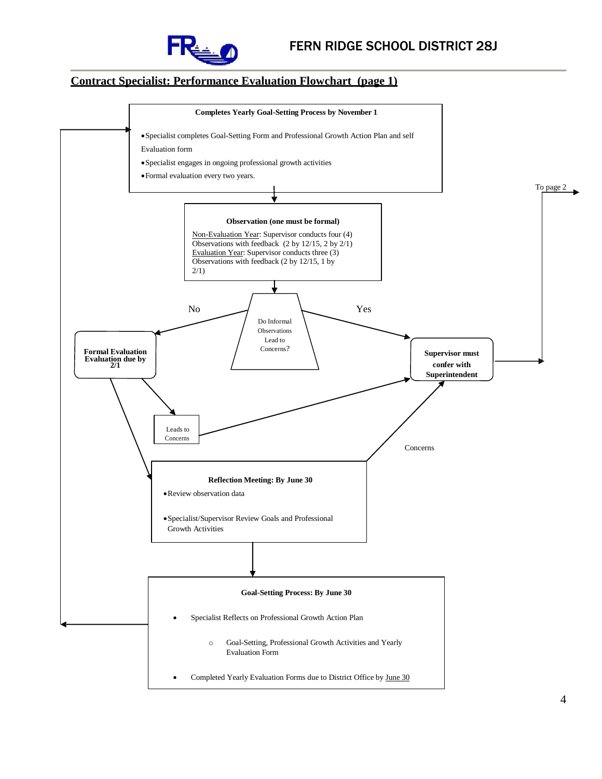

#### **Contract Specialist: Performance Evaluation Flowchart (page 1)**

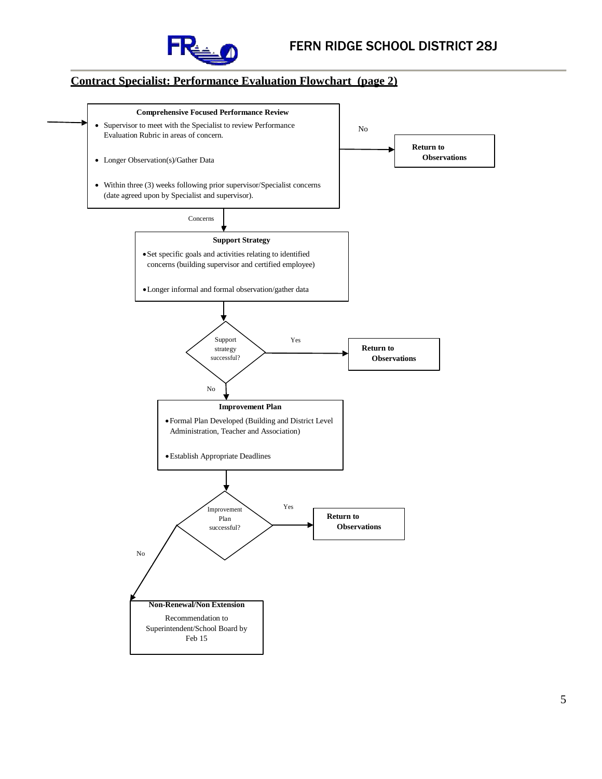

### **Contract Specialist: Performance Evaluation Flowchart (page 2)**

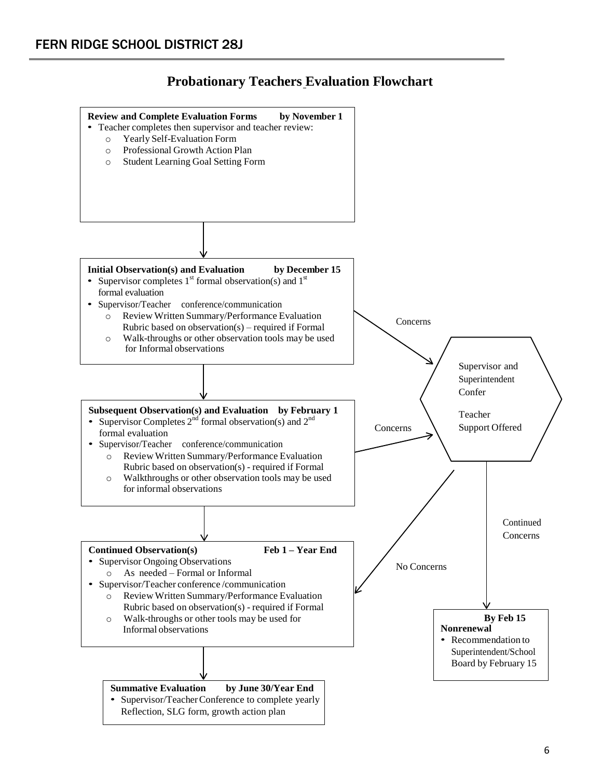

# **Probationary Teachers Evaluation Flowchart**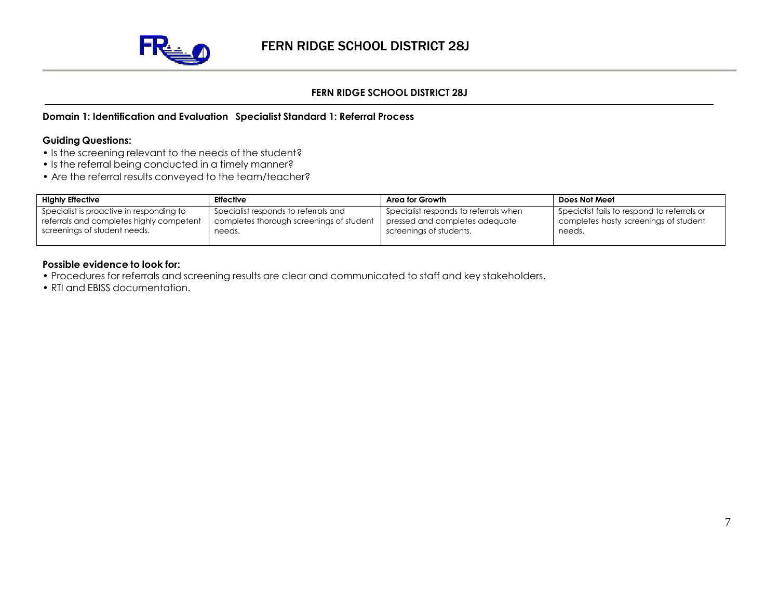

#### **Domain 1: Identification and Evaluation Specialist Standard 1: Referral Process**

#### **Guiding Questions:**

- Is the screening relevant to the needs of the student?
- Is the referral being conducted in a timely manner?
- Are the referral results conveyed to the team/teacher?

| <b>Highly Effective</b>                                                                                              | <b>Effective</b>                                                                           | Area for Growth                                                                                    | Does Not Meet                                                                                  |
|----------------------------------------------------------------------------------------------------------------------|--------------------------------------------------------------------------------------------|----------------------------------------------------------------------------------------------------|------------------------------------------------------------------------------------------------|
| Specialist is proactive in responding to<br>referrals and completes highly competent<br>screenings of student needs. | Specialist responds to referrals and<br>completes thorough screenings of student<br>needs. | Specialist responds to referrals when<br>pressed and completes adequate<br>screenings of students. | Specialist fails to respond to referrals or<br>completes hasty screenings of student<br>needs. |
|                                                                                                                      |                                                                                            |                                                                                                    |                                                                                                |

- Procedures for referrals and screening results are clear and communicated to staff and key stakeholders.
- RTI and EBISS documentation.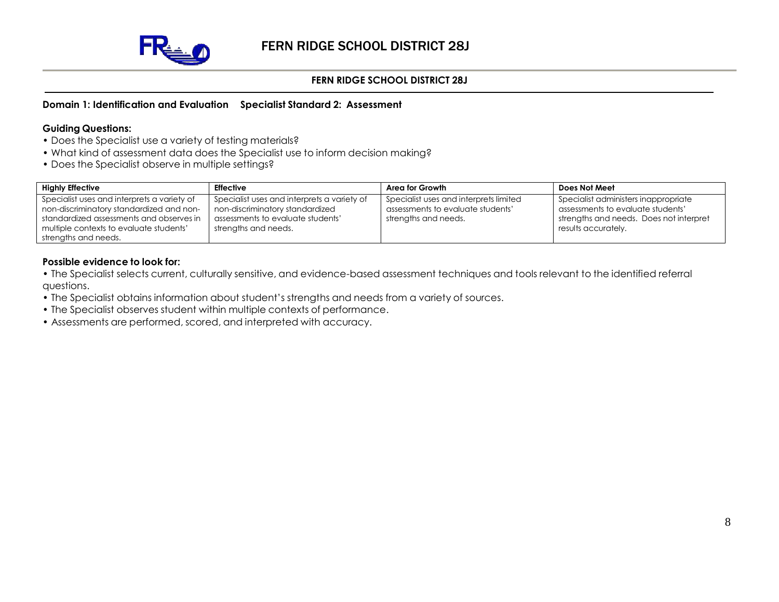

#### **Domain 1: Identification and Evaluation Specialist Standard 2: Assessment**

#### **Guiding Questions:**

- Does the Specialist use a variety of testing materials?
- What kind of assessment data does the Specialist use to inform decision making?
- Does the Specialist observe in multiple settings?

| <b>Highly Effective</b>                                                                                                                                                                                | <b>Effective</b>                                                                                                                            | Area for Growth                                                                                     | Does Not Meet                                                                                                                               |
|--------------------------------------------------------------------------------------------------------------------------------------------------------------------------------------------------------|---------------------------------------------------------------------------------------------------------------------------------------------|-----------------------------------------------------------------------------------------------------|---------------------------------------------------------------------------------------------------------------------------------------------|
| Specialist uses and interprets a variety of<br>non-discriminatory standardized and non-<br>standardized assessments and observes in<br>multiple contexts to evaluate students'<br>strengths and needs. | Specialist uses and interprets a variety of<br>non-discriminatory standardized<br>assessments to evaluate students'<br>strengths and needs. | Specialist uses and interprets limited<br>assessments to evaluate students'<br>strengths and needs. | Specialist administers inappropriate<br>assessments to evaluate students'<br>strengths and needs. Does not interpret<br>results accurately. |

- The Specialist selects current, culturally sensitive, and evidence-based assessment techniques and tools relevant to the identified referral questions.
- The Specialist obtains information about student's strengths and needs from a variety of sources.
- The Specialist observes student within multiple contexts of performance.
- Assessments are performed, scored, and interpreted with accuracy.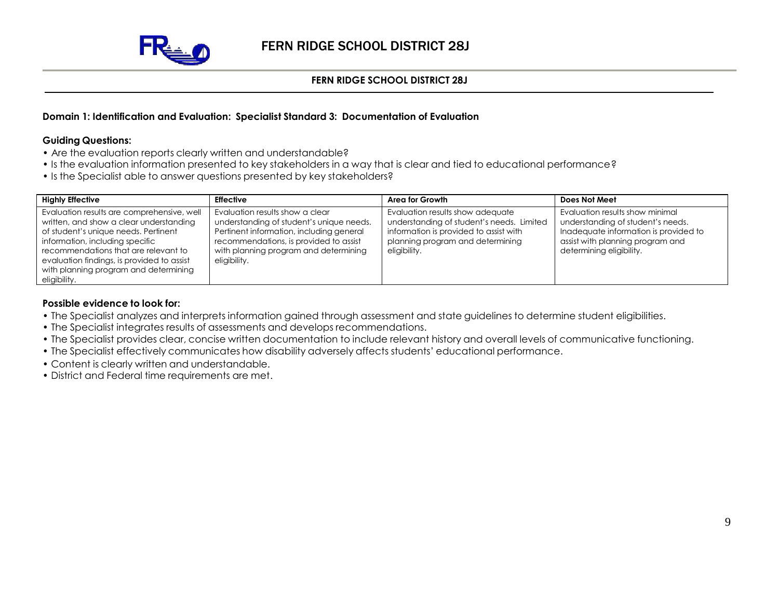

#### **Domain 1: Identification and Evaluation: Specialist Standard 3: Documentation of Evaluation**

#### **Guiding Questions:**

- Are the evaluation reports clearly written and understandable?
- Is the evaluation information presented to key stakeholders in a way that is clear and tied to educational performance?
- Is the Specialist able to answer questions presented by key stakeholders?

| <b>Highly Effective</b>                                                                                                                                                                                                                                                                                         | <b>Effective</b>                                                                                                                                                                                                           | Area for Growth                                                                                                                                                             | Does Not Meet                                                                                                                                                                 |
|-----------------------------------------------------------------------------------------------------------------------------------------------------------------------------------------------------------------------------------------------------------------------------------------------------------------|----------------------------------------------------------------------------------------------------------------------------------------------------------------------------------------------------------------------------|-----------------------------------------------------------------------------------------------------------------------------------------------------------------------------|-------------------------------------------------------------------------------------------------------------------------------------------------------------------------------|
| Evaluation results are comprehensive, well<br>written, and show a clear understanding<br>of student's unique needs. Pertinent<br>information, including specific<br>recommendations that are relevant to<br>evaluation findings, is provided to assist<br>with planning program and determining<br>eligibility. | Evaluation results show a clear<br>understanding of student's unique needs.<br>Pertinent information, including general<br>recommendations, is provided to assist<br>with planning program and determining<br>eligibility. | Evaluation results show adequate<br>understanding of student's needs. Limited<br>information is provided to assist with<br>planning program and determining<br>eligibility. | Evaluation results show minimal<br>understanding of student's needs.<br>Inadequate information is provided to<br>assist with planning program and<br>determining eligibility. |

- The Specialist analyzes and interprets information gained through assessment and state guidelines to determine student eligibilities.
- The Specialist integrates results of assessments and develops recommendations.
- The Specialist provides clear, concise written documentation to include relevant history and overall levels of communicative functioning.
- The Specialist effectively communicates how disability adversely affects students' educational performance.
- Content is clearly written and understandable.
- District and Federal time requirements are met.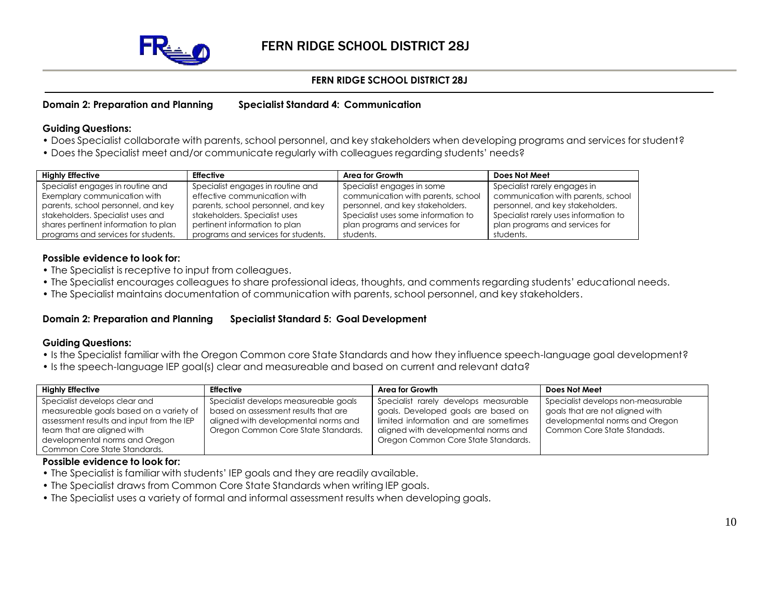

#### **Domain 2: Preparation and Planning Specialist Standard 4: Communication**

#### **Guiding Questions:**

- Does Specialist collaborate with parents, school personnel, and key stakeholders when developing programs and services for student?
- Does the Specialist meet and/or communicate regularly with colleagues regarding students' needs?

| <b>Highly Effective</b>              | <b>Effective</b>                    | Area for Growth                     | Does Not Meet                         |
|--------------------------------------|-------------------------------------|-------------------------------------|---------------------------------------|
| Specialist engages in routine and    | Specialist engages in routine and   | Specialist engages in some          | Specialist rarely engages in          |
| Exemplary communication with         | effective communication with        | communication with parents, school  | communication with parents, school    |
| parents, school personnel, and key   | parents, school personnel, and key  | personnel, and key stakeholders.    | personnel, and key stakeholders.      |
| stakeholders. Specialist uses and    | stakeholders. Specialist uses       | Specialist uses some information to | Specialist rarely uses information to |
| shares pertinent information to plan | pertinent information to plan       | plan programs and services for      | plan programs and services for        |
| programs and services for students.  | programs and services for students. | students.                           | students.                             |

#### **Possible evidence to look for:**

- The Specialist is receptive to input from colleagues.
- The Specialist encourages colleagues to share professional ideas, thoughts, and comments regarding students' educational needs.
- The Specialist maintains documentation of communication with parents, school personnel, and key stakeholders.

#### **Domain 2: Preparation and Planning Specialist Standard 5: Goal Development**

#### **Guiding Questions:**

- Is the Specialist familiar with the Oregon Common core State Standards and how they influence speech-language goal development?
- Is the speech-language IEP goal(s) clear and measureable and based on current and relevant data?

| <b>Highly Effective</b>                                                                                                                                                                                               | <b>Effective</b>                                                                                                                                             | Area for Growth                                                                                                                                                                                      | Does Not Meet                                                                                                                          |
|-----------------------------------------------------------------------------------------------------------------------------------------------------------------------------------------------------------------------|--------------------------------------------------------------------------------------------------------------------------------------------------------------|------------------------------------------------------------------------------------------------------------------------------------------------------------------------------------------------------|----------------------------------------------------------------------------------------------------------------------------------------|
| Specialist develops clear and<br>measureable goals based on a variety of<br>assessment results and input from the IEP<br>team that are aligned with<br>developmental norms and Oregon<br>Common Core State Standards. | Specialist develops measureable goals<br>based on assessment results that are<br>aligned with developmental norms and<br>Oregon Common Core State Standards. | Specialist rarely develops measurable<br>goals. Developed goals are based on<br>limited information and are sometimes<br>aligned with developmental norms and<br>Oregon Common Core State Standards. | Specialist develops non-measurable<br>goals that are not aligned with<br>developmental norms and Oregon<br>Common Core State Standads. |

- The Specialist is familiar with students' IEP goals and they are readily available.
- The Specialist draws from Common Core State Standards when writing IEP goals.
- The Specialist uses a variety of formal and informal assessment results when developing goals.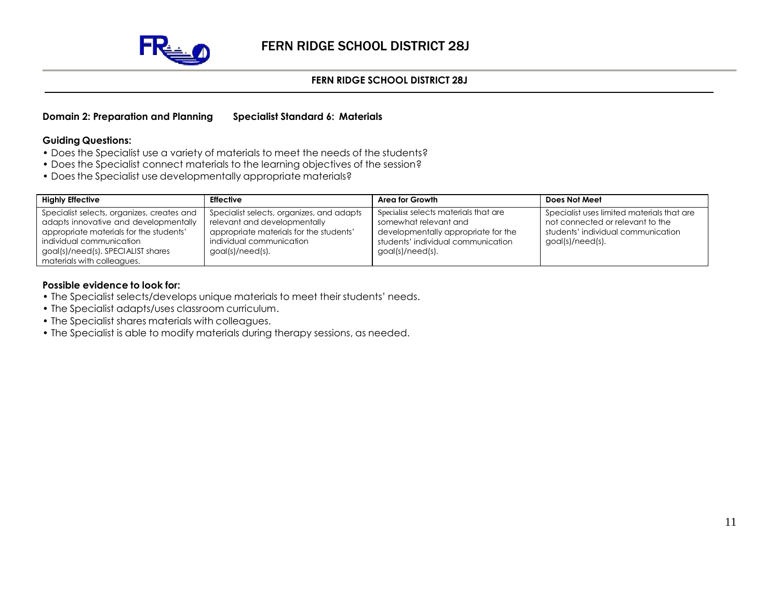

#### **Domain 2: Preparation and Planning Specialist Standard 6: Materials**

#### **Guiding Questions:**

- Does the Specialist use a variety of materials to meet the needs of the students?
- Does the Specialist connect materials to the learning objectives of the session?
- Does the Specialist use developmentally appropriate materials?

| <b>Highly Effective</b>                    | <b>Effective</b>                          | Area for Growth                       | Does Not Meet                              |
|--------------------------------------------|-------------------------------------------|---------------------------------------|--------------------------------------------|
| Specialist selects, organizes, creates and | Specialist selects, organizes, and adapts | Specialist selects materials that are | Specialist uses limited materials that are |
| adapts innovative and developmentally      | relevant and developmentally              | somewhat relevant and                 | not connected or relevant to the           |
| appropriate materials for the students'    | appropriate materials for the students'   | developmentally appropriate for the   | students' individual communication         |
| individual communication                   | individual communication                  | students' individual communication    | $goal(s)/need(s)$ .                        |
| goal(s)/need(s). SPECIALIST shares         | goal(s)/need(s).                          | goal(s)/need(s).                      |                                            |
| materials with colleagues.                 |                                           |                                       |                                            |

- The Specialist selects/develops unique materials to meet their students' needs.
- The Specialist adapts/uses classroom curriculum.
- The Specialist shares materials with colleagues.
- The Specialist is able to modify materials during therapy sessions, as needed.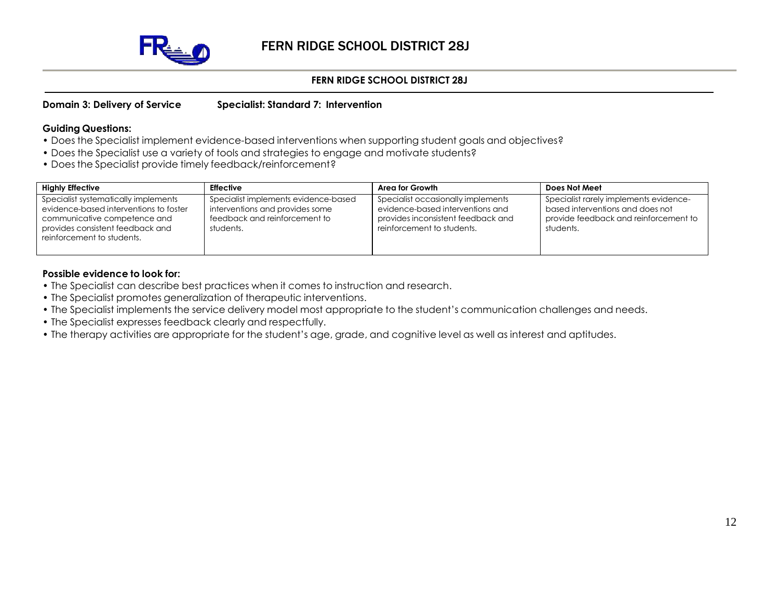

#### **Domain 3: Delivery of Service Specialist: Standard 7: Intervention**

#### **Guiding Questions:**

- Does the Specialist implement evidence-based interventions when supporting student goals and objectives?
- Does the Specialist use a variety of tools and strategies to engage and motivate students?
- Does the Specialist provide timely feedback/reinforcement?

| <b>Highly Effective</b>                                                                                                                                                          | <b>Effective</b>                                                                                                      | Area for Growth                                                                                                                            | Does Not Meet                                                                                                                    |
|----------------------------------------------------------------------------------------------------------------------------------------------------------------------------------|-----------------------------------------------------------------------------------------------------------------------|--------------------------------------------------------------------------------------------------------------------------------------------|----------------------------------------------------------------------------------------------------------------------------------|
| Specialist systematically implements<br>evidence-based interventions to foster<br>communicative competence and<br>provides consistent feedback and<br>reinforcement to students. | Specialist implements evidence-based<br>interventions and provides some<br>feedback and reinforcement to<br>students. | Specialist occasionally implements<br>evidence-based interventions and<br>provides inconsistent feedback and<br>reinforcement to students. | Specialist rarely implements evidence-<br>based interventions and does not<br>provide feedback and reinforcement to<br>students. |

- The Specialist can describe best practices when it comes to instruction and research.
- The Specialist promotes generalization of therapeutic interventions.
- The Specialist implements the service delivery model most appropriate to the student's communication challenges and needs.
- The Specialist expresses feedback clearly and respectfully.
- The therapy activities are appropriate for the student's age, grade, and cognitive level as well as interest and aptitudes.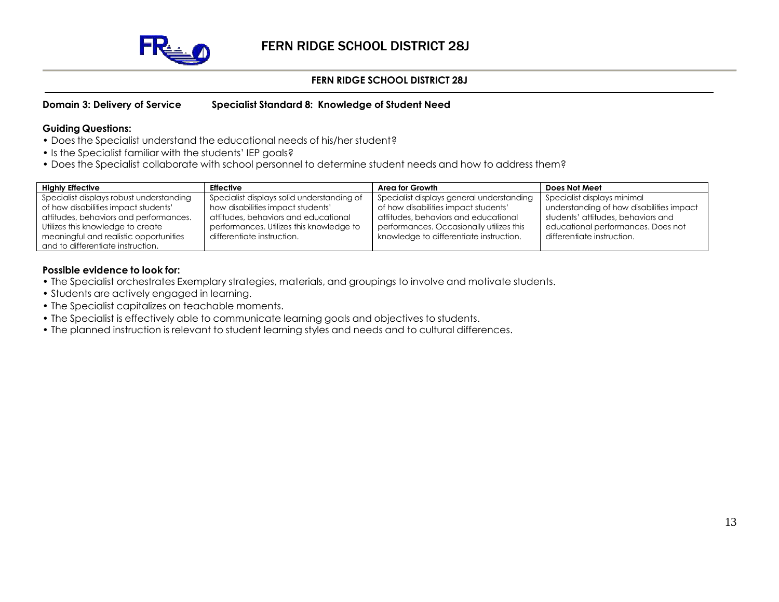

#### **Domain 3: Delivery of Service Specialist Standard 8: Knowledge of Student Need**

#### **Guiding Questions:**

- Does the Specialist understand the educational needs of his/her student?
- Is the Specialist familiar with the students' IEP goals?
- Does the Specialist collaborate with school personnel to determine student needs and how to address them?

| <b>Highly Effective</b>                  | Effective                                  | Area for Growth                           | Does Not Meet                            |
|------------------------------------------|--------------------------------------------|-------------------------------------------|------------------------------------------|
| Specialist displays robust understanding | Specialist displays solid understanding of | Specialist displays general understanding | Specialist displays minimal              |
| of how disabilities impact students'     | how disabilities impact students'          | of how disabilities impact students'      | understanding of how disabilities impact |
| attitudes, behaviors and performances.   | attitudes, behaviors and educational       | attitudes, behaviors and educational      | students' attitudes, behaviors and       |
| Utilizes this knowledge to create        | performances. Utilizes this knowledge to   | performances. Occasionally utilizes this  | educational performances. Does not       |
| meaningful and realistic opportunities   | differentiate instruction.                 | knowledge to differentiate instruction.   | differentiate instruction.               |
| and to differentiate instruction.        |                                            |                                           |                                          |

- The Specialist orchestrates Exemplary strategies, materials, and groupings to involve and motivate students.
- Students are actively engaged in learning.
- The Specialist capitalizes on teachable moments.
- The Specialist is effectively able to communicate learning goals and objectives to students.
- The planned instruction is relevant to student learning styles and needs and to cultural differences.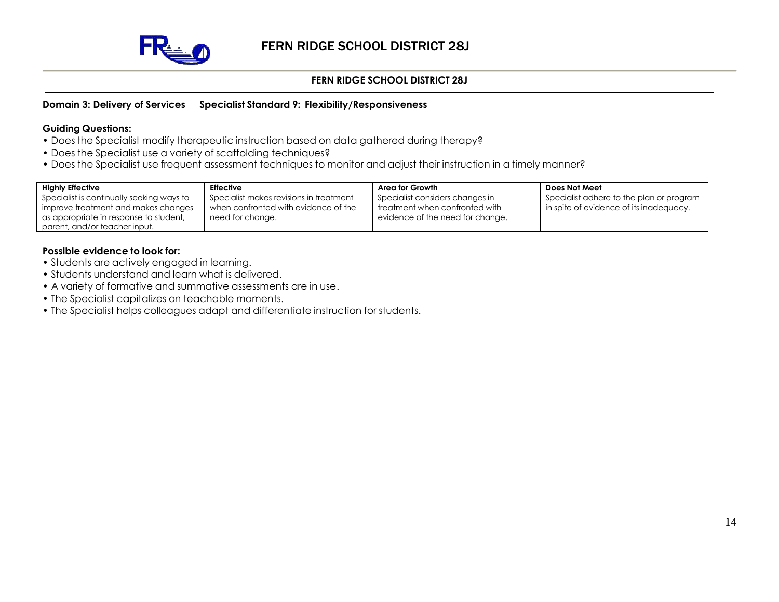

#### **Domain 3: Delivery of Services Specialist Standard 9: Flexibility/Responsiveness**

#### **Guiding Questions:**

- Does the Specialist modify therapeutic instruction based on data gathered during therapy?
- Does the Specialist use a variety of scaffolding techniques?
- Does the Specialist use frequent assessment techniques to monitor and adjust their instruction in a timely manner?

| <b>Highly Effective</b>                   | <b>Effective</b>                        | Area for Growth                  | Does Not Meet                            |
|-------------------------------------------|-----------------------------------------|----------------------------------|------------------------------------------|
| Specialist is continually seeking ways to | Specialist makes revisions in treatment | Specialist considers changes in  | Specialist adhere to the plan or program |
| improve treatment and makes changes       | when confronted with evidence of the    | treatment when confronted with   | in spite of evidence of its inadequacy.  |
| as appropriate in response to student,    | need for change.                        | evidence of the need for change. |                                          |
| parent, and/or teacher input.             |                                         |                                  |                                          |

- Students are actively engaged in learning.
- Students understand and learn what is delivered.
- A variety of formative and summative assessments are in use.
- The Specialist capitalizes on teachable moments.
- The Specialist helps colleagues adapt and differentiate instruction for students.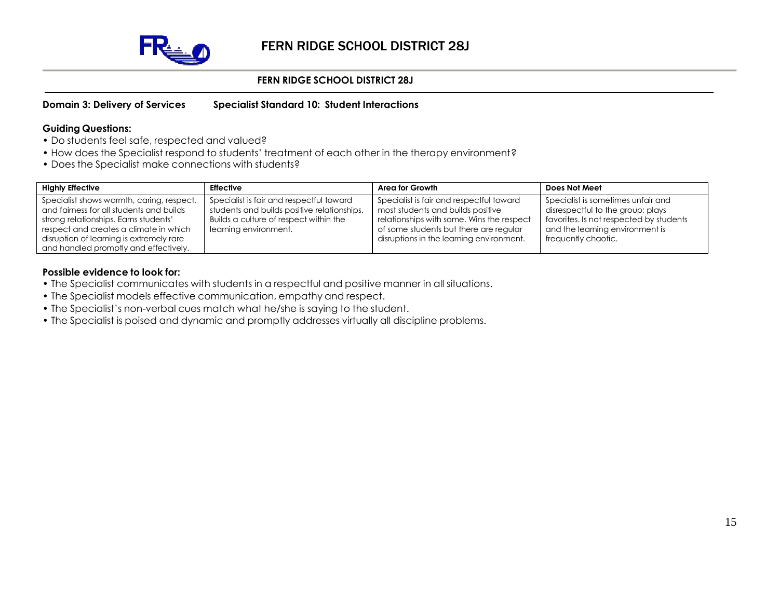

#### **Domain 3: Delivery of Services Specialist Standard 10: Student Interactions**

#### **Guiding Questions:**

- Do students feel safe, respected and valued?
- How does the Specialist respond to students' treatment of each other in the therapy environment?
- Does the Specialist make connections with students?

| <b>Highly Effective</b>                                                                                                                                                                                                                                       | <b>Effective</b>                                                                                                                                           | Area for Growth                                                                                                                                                                                                  | Does Not Meet                                                                                                                                                                |
|---------------------------------------------------------------------------------------------------------------------------------------------------------------------------------------------------------------------------------------------------------------|------------------------------------------------------------------------------------------------------------------------------------------------------------|------------------------------------------------------------------------------------------------------------------------------------------------------------------------------------------------------------------|------------------------------------------------------------------------------------------------------------------------------------------------------------------------------|
| Specialist shows warmth, caring, respect,<br>and fairness for all students and builds<br>strong relationships. Earns students'<br>respect and creates a climate in which<br>disruption of learning is extremely rare<br>and handled promptly and effectively. | Specialist is fair and respectful toward<br>students and builds positive relationships.<br>Builds a culture of respect within the<br>learning environment. | Specialist is fair and respectful toward<br>most students and builds positive<br>relationships with some. Wins the respect<br>of some students but there are regular<br>disruptions in the learning environment. | Specialist is sometimes unfair and<br>disrespectful to the group; plays<br>favorites. Is not respected by students<br>and the learning environment is<br>frequently chaotic. |

- The Specialist communicates with students in a respectful and positive manner in all situations.
- The Specialist models effective communication, empathy and respect.
- The Specialist's non-verbal cues match what he/she is saying to the student.
- The Specialist is poised and dynamic and promptly addresses virtually all discipline problems.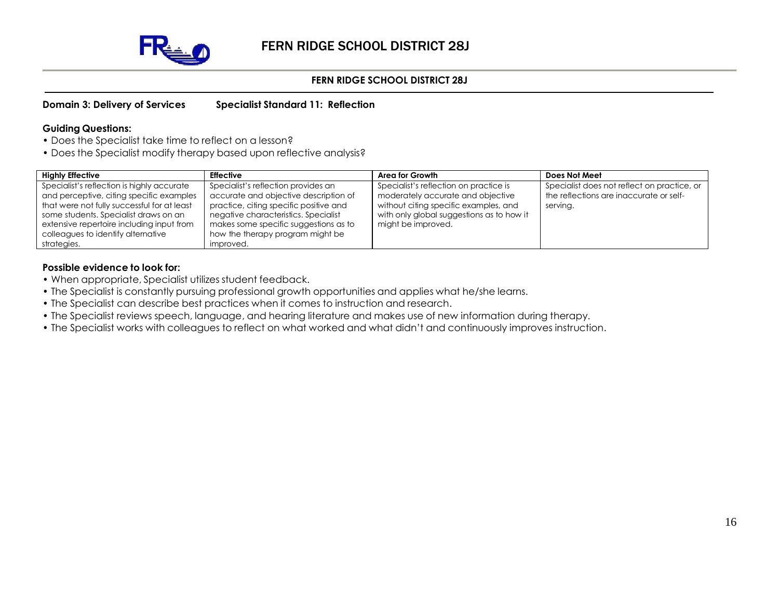

**Domain 3: Delivery of Services Specialist Standard 11: Reflection**

#### **Guiding Questions:**

- Does the Specialist take time to reflect on a lesson?
- Does the Specialist modify therapy based upon reflective analysis?

| <b>Highly Effective</b>                                                                | <b>Effective</b>                                                              | Area for Growth                                                             | Does Not Meet                                                                          |
|----------------------------------------------------------------------------------------|-------------------------------------------------------------------------------|-----------------------------------------------------------------------------|----------------------------------------------------------------------------------------|
| Specialist's reflection is highly accurate<br>and perceptive, citing specific examples | Specialist's reflection provides an<br>accurate and objective description of  | Specialist's reflection on practice is<br>moderately accurate and objective | Specialist does not reflect on practice, or<br>the reflections are inaccurate or self- |
| that were not fully successful for at least                                            | practice, citing specific positive and                                        | without citing specific examples, and                                       | serving.                                                                               |
| some students. Specialist draws on an<br>extensive repertoire including input from     | negative characteristics. Specialist<br>makes some specific suggestions as to | with only global suggestions as to how it<br>might be improved.             |                                                                                        |
| colleagues to identify alternative                                                     | how the therapy program might be                                              |                                                                             |                                                                                        |
| strategies.                                                                            | improved.                                                                     |                                                                             |                                                                                        |

- When appropriate, Specialist utilizes student feedback.
- The Specialist is constantly pursuing professional growth opportunities and applies what he/she learns.
- The Specialist can describe best practices when it comes to instruction and research.
- The Specialist reviews speech, language, and hearing literature and makes use of new information during therapy.
- The Specialist works with colleagues to reflect on what worked and what didn't and continuously improves instruction.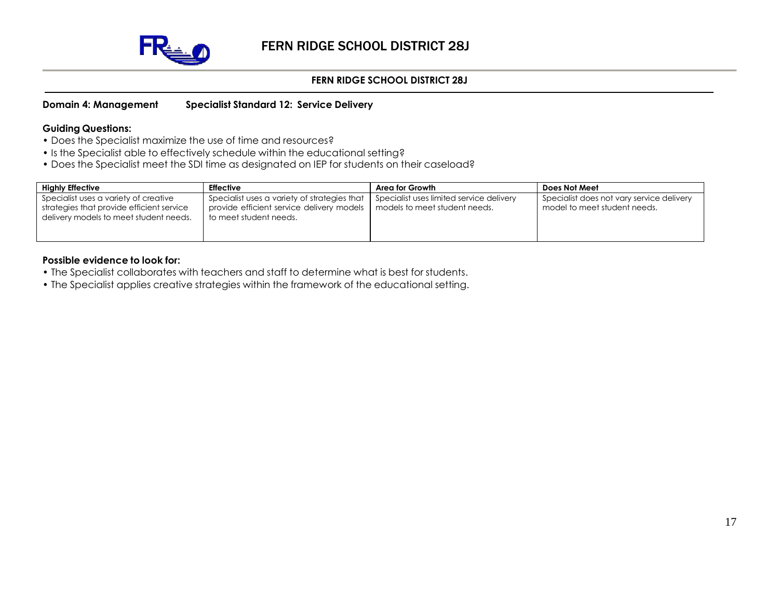

#### **Domain 4: Management Specialist Standard 12: Service Delivery**

#### **Guiding Questions:**

- Does the Specialist maximize the use of time and resources?
- Is the Specialist able to effectively schedule within the educational setting?
- Does the Specialist meet the SDI time as designated on IEP for students on their caseload?

| <b>Highly Effective</b>                                                                                                      | <b>Effective</b>                                                                                                    | Area for Growth                                                           | Does Not Meet                                                             |
|------------------------------------------------------------------------------------------------------------------------------|---------------------------------------------------------------------------------------------------------------------|---------------------------------------------------------------------------|---------------------------------------------------------------------------|
| Specialist uses a variety of creative<br>strategies that provide efficient service<br>delivery models to meet student needs. | Specialist uses a variety of strategies that<br>provide efficient service delivery models<br>to meet student needs. | Specialist uses limited service delivery<br>models to meet student needs. | Specialist does not vary service delivery<br>model to meet student needs. |

- The Specialist collaborates with teachers and staff to determine what is best for students.
- The Specialist applies creative strategies within the framework of the educational setting.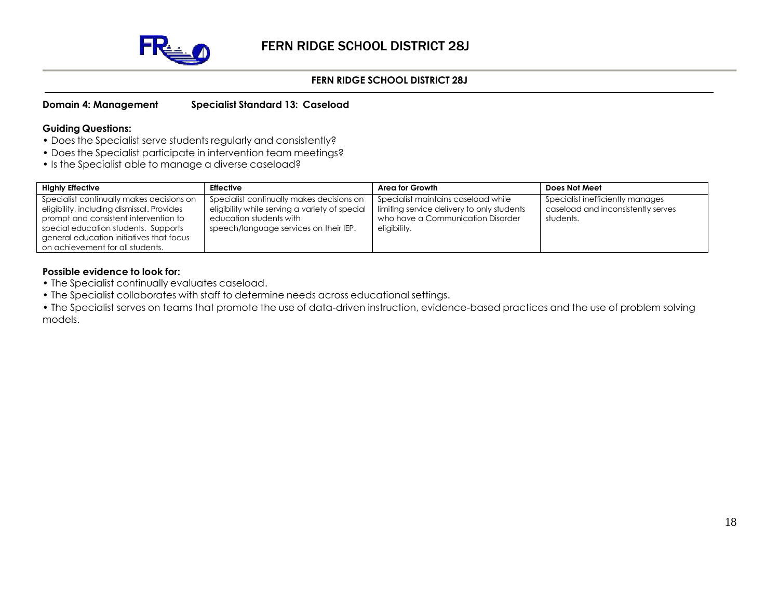

#### **Domain 4: Management Specialist Standard 13: Caseload**

#### **Guiding Questions:**

- Does the Specialist serve students regularly and consistently?
- Does the Specialist participate in intervention team meetings?
- Is the Specialist able to manage a diverse caseload?

| <b>Highly Effective</b>                                                                                                                                                                                                                                  | <b>Effective</b>                                                                                                                                                 | Area for Growth                                                                                                                        | Does Not Meet                                                                       |
|----------------------------------------------------------------------------------------------------------------------------------------------------------------------------------------------------------------------------------------------------------|------------------------------------------------------------------------------------------------------------------------------------------------------------------|----------------------------------------------------------------------------------------------------------------------------------------|-------------------------------------------------------------------------------------|
| Specialist continually makes decisions on<br>eligibility, including dismissal. Provides<br>prompt and consistent intervention to<br>special education students. Supports<br>general education initiatives that focus<br>on achievement for all students. | Specialist continually makes decisions on<br>eligibility while serving a variety of special<br>education students with<br>speech/language services on their IEP. | Specialist maintains caseload while<br>limiting service delivery to only students<br>who have a Communication Disorder<br>eligibility. | Specialist inefficiently manages<br>caseload and inconsistently serves<br>students. |

- The Specialist continually evaluates caseload.
- The Specialist collaborates with staff to determine needs across educational settings.
- The Specialist serves on teams that promote the use of data-driven instruction, evidence-based practices and the use of problem solving models.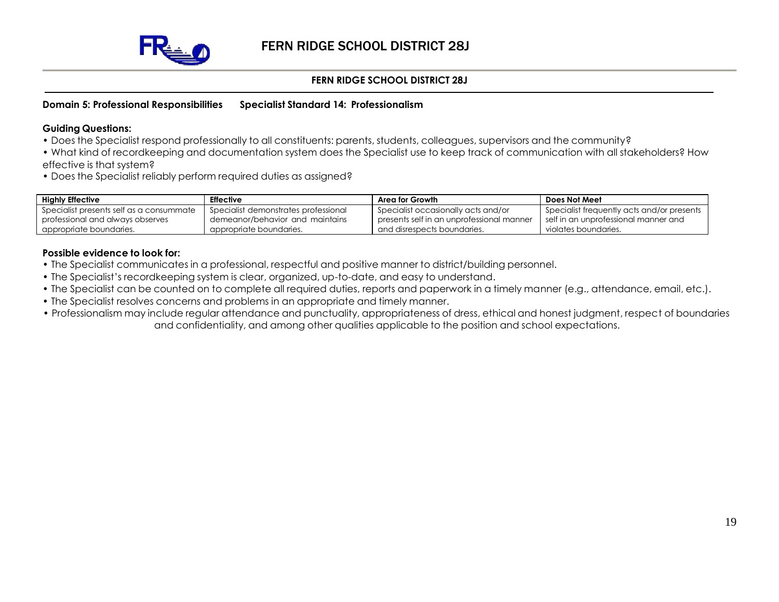

#### **Domain 5: Professional Responsibilities Specialist Standard 14: Professionalism**

#### **Guiding Questions:**

- Does the Specialist respond professionally to all constituents: parents, students, colleagues, supervisors and the community?
- What kind of recordkeeping and documentation system does the Specialist use to keep track of communication with all stakeholders? How effective is that system?
- Does the Specialist reliably perform required duties as assigned?

| <b>Highly Effective</b>                  | <b>Effective</b>                     | Area for Growth                           | Does Not Meet                              |
|------------------------------------------|--------------------------------------|-------------------------------------------|--------------------------------------------|
| Specialist presents self as a consummate | Specialist demonstrates professional | Specialist occasionally acts and/or       | Specialist frequently acts and/or presents |
| professional and always observes         | demeanor/behavior and maintains      | presents self in an unprofessional manner | self in an unprofessional manner and       |
| appropriate boundaries.                  | appropriate boundaries.              | and disrespects boundaries.               | violates boundaries.                       |

- The Specialist communicates in a professional, respectful and positive manner to district/building personnel.
- The Specialist's recordkeeping system is clear, organized, up-to-date, and easy to understand.
- The Specialist can be counted on to complete all required duties, reports and paperwork in a timely manner (e.g., attendance, email, etc.).
- The Specialist resolves concerns and problems in an appropriate and timely manner.
- Professionalism may include regular attendance and punctuality, appropriateness of dress, ethical and honest judgment, respect of boundaries and confidentiality, and among other qualities applicable to the position and school expectations.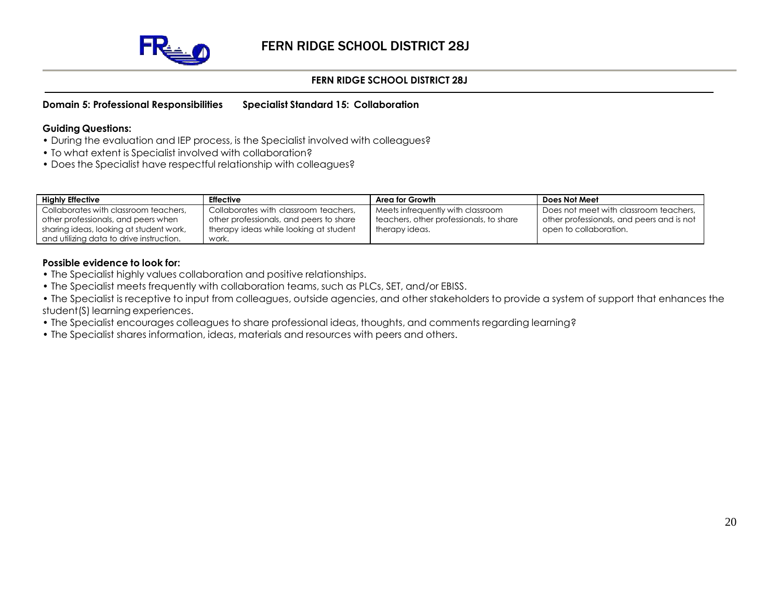

#### **Domain 5: Professional Responsibilities Specialist Standard 15: Collaboration**

#### **Guiding Questions:**

- During the evaluation and IEP process, is the Specialist involved with colleagues?
- To what extent is Specialist involved with collaboration?
- Does the Specialist have respectful relationship with colleagues?

| <b>Highly Effective</b>                  | <b>Effective</b>                        | Area for Growth                         | Does Not Meet                             |
|------------------------------------------|-----------------------------------------|-----------------------------------------|-------------------------------------------|
| Collaborates with classroom teachers,    | Collaborates with classroom teachers,   | Meets infrequently with classroom       | Does not meet with classroom teachers,    |
| other professionals, and peers when      | other professionals, and peers to share | teachers, other professionals, to share | other professionals, and peers and is not |
| sharing ideas, looking at student work,  | therapy ideas while looking at student  | therapy ideas.                          | open to collaboration.                    |
| and utilizing data to drive instruction. | work.                                   |                                         |                                           |

#### **Possible evidence to look for:**

- The Specialist highly values collaboration and positive relationships.
- The Specialist meets frequently with collaboration teams, such as PLCs, SET, and/or EBISS.

• The Specialist is receptive to input from colleagues, outside agencies, and other stakeholders to provide a system of support that enhances the student(S) learning experiences.

- The Specialist encourages colleagues to share professional ideas, thoughts, and comments regarding learning?
- The Specialist shares information, ideas, materials and resources with peers and others.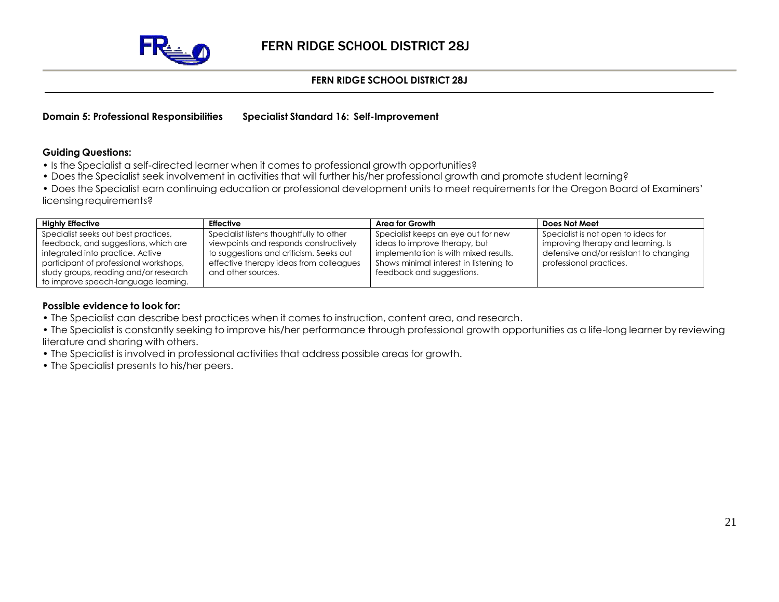

**Domain 5: Professional Responsibilities Specialist Standard 16: Self-Improvement**

#### **Guiding Questions:**

- Is the Specialist a self-directed learner when it comes to professional growth opportunities?
- Does the Specialist seek involvement in activities that will further his/her professional growth and promote student learning?
- Does the Specialist earn continuing education or professional development units to meet requirements for the Oregon Board of Examiners' licensing requirements?

| <b>Highly Effective</b>                | <b>Effective</b>                         | Area for Growth                        | Does Not Meet                          |
|----------------------------------------|------------------------------------------|----------------------------------------|----------------------------------------|
| Specialist seeks out best practices,   | Specialist listens thoughtfully to other | Specialist keeps an eye out for new    | Specialist is not open to ideas for    |
| feedback, and suggestions, which are   | viewpoints and responds constructively   | ideas to improve therapy, but          | improving therapy and learning. Is     |
| integrated into practice. Active       | to suggestions and criticism. Seeks out  | implementation is with mixed results.  | defensive and/or resistant to changing |
| participant of professional workshops, | effective therapy ideas from colleagues  | Shows minimal interest in listening to | professional practices.                |
| study groups, reading and/or research  | and other sources.                       | feedback and suggestions.              |                                        |
| to improve speech-language learning.   |                                          |                                        |                                        |

- The Specialist can describe best practices when it comes to instruction, content area, and research.
- The Specialist is constantly seeking to improve his/her performance through professional growth opportunities as a life-long learner by reviewing literature and sharing with others.
- The Specialist is involved in professional activities that address possible areas for growth.
- The Specialist presents to his/her peers.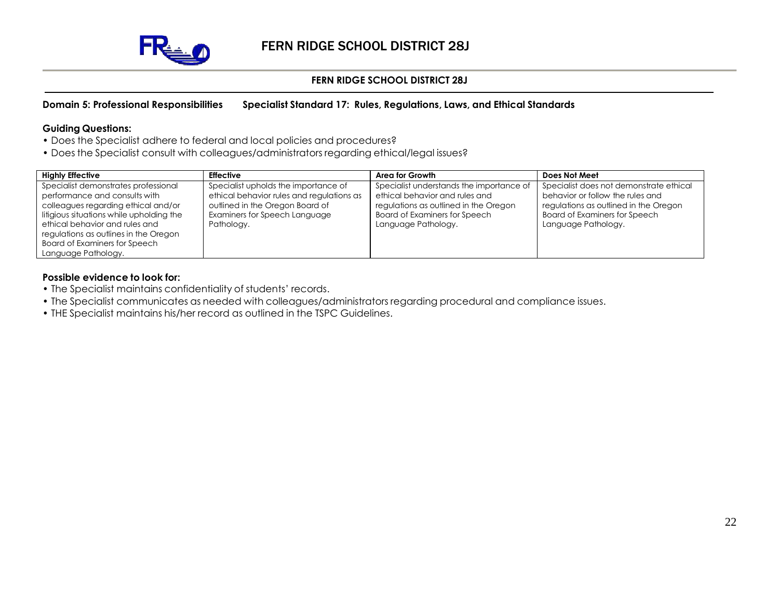

## **Domain 5: Professional Responsibilities Specialist Standard 17: Rules, Regulations, Laws, and Ethical Standards**

#### **Guiding Questions:**

- Does the Specialist adhere to federal and local policies and procedures?
- Does the Specialist consult with colleagues/administrators regarding ethical/legal issues?

| <b>Highly Effective</b>                                                                                                                                                                                                                                                     | <b>Effective</b>                                                                                                                                                    | Area for Growth                                                                                                                                                                    | Does Not Meet                                                                                                                                                                       |
|-----------------------------------------------------------------------------------------------------------------------------------------------------------------------------------------------------------------------------------------------------------------------------|---------------------------------------------------------------------------------------------------------------------------------------------------------------------|------------------------------------------------------------------------------------------------------------------------------------------------------------------------------------|-------------------------------------------------------------------------------------------------------------------------------------------------------------------------------------|
| Specialist demonstrates professional<br>performance and consults with<br>colleagues regarding ethical and/or<br>litigious situations while upholding the<br>ethical behavior and rules and<br>regulations as outlines in the Oregon<br><b>Board of Examiners for Speech</b> | Specialist upholds the importance of<br>ethical behavior rules and regulations as<br>outlined in the Oregon Board of<br>Examiners for Speech Language<br>Pathology. | Specialist understands the importance of<br>ethical behavior and rules and<br>regulations as outlined in the Oregon<br><b>Board of Examiners for Speech</b><br>Language Pathology. | Specialist does not demonstrate ethical<br>behavior or follow the rules and<br>regulations as outlined in the Oregon<br><b>Board of Examiners for Speech</b><br>Language Pathology. |
| Language Pathology.                                                                                                                                                                                                                                                         |                                                                                                                                                                     |                                                                                                                                                                                    |                                                                                                                                                                                     |

- The Specialist maintains confidentiality of students' records.
- The Specialist communicates as needed with colleagues/administrators regarding procedural and compliance issues.
- THE Specialist maintains his/her record as outlined in the TSPC Guidelines.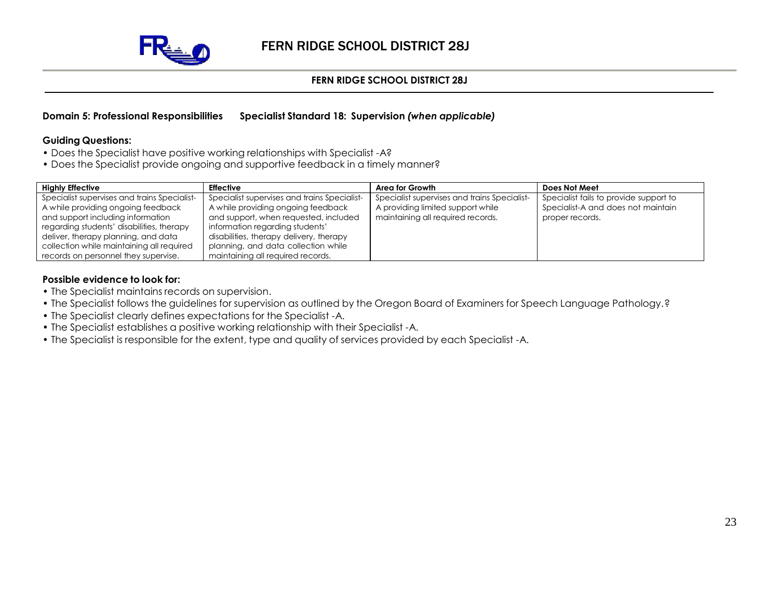

#### **Domain 5: Professional Responsibilities Specialist Standard 18: Supervision** *(when applicable)*

#### **Guiding Questions:**

- Does the Specialist have positive working relationships with Specialist -A?
- Does the Specialist provide ongoing and supportive feedback in a timely manner?

| <b>Highly Effective</b>                                                                                                                                                                                                                                  | <b>Effective</b>                                                                                                                                                                                                                                 | Area for Growth                                                                                                        | Does Not Meet                                                                                   |
|----------------------------------------------------------------------------------------------------------------------------------------------------------------------------------------------------------------------------------------------------------|--------------------------------------------------------------------------------------------------------------------------------------------------------------------------------------------------------------------------------------------------|------------------------------------------------------------------------------------------------------------------------|-------------------------------------------------------------------------------------------------|
| Specialist supervises and trains Specialist-<br>A while providing ongoing feedback<br>and support including information<br>regarding students' disabilities, therapy<br>deliver, therapy planning, and data<br>collection while maintaining all required | Specialist supervises and trains Specialist-<br>A while providing ongoing feedback<br>and support, when requested, included<br>information regarding students'<br>disabilities, therapy delivery, therapy<br>planning, and data collection while | Specialist supervises and trains Specialist-<br>A providing limited support while<br>maintaining all required records. | Specialist fails to provide support to<br>Specialist-A and does not maintain<br>proper records. |
| records on personnel they supervise.                                                                                                                                                                                                                     | maintaining all required records.                                                                                                                                                                                                                |                                                                                                                        |                                                                                                 |

- The Specialist maintains records on supervision.
- The Specialist follows the guidelines for supervision as outlined by the Oregon Board of Examiners for Speech Language Pathology.?
- The Specialist clearly defines expectations for the Specialist -A.
- The Specialist establishes a positive working relationship with their Specialist -A.
- The Specialist is responsible for the extent, type and quality of services provided by each Specialist -A.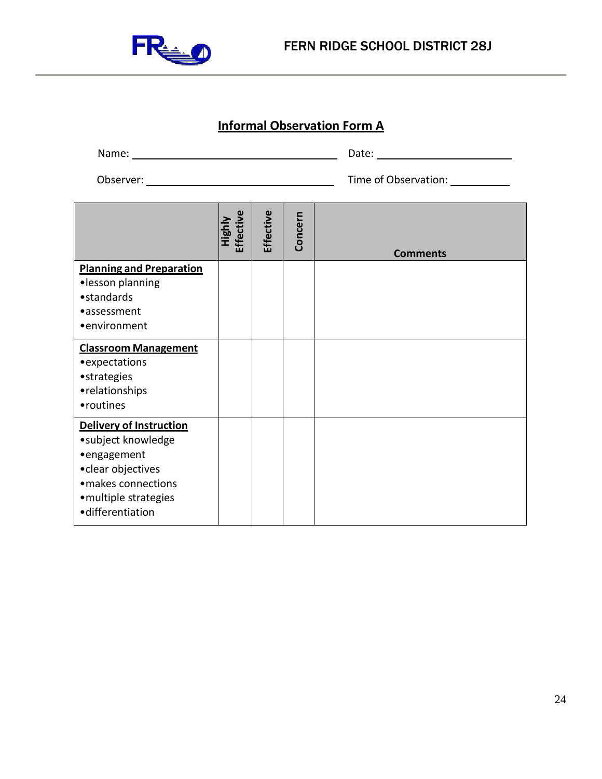

# **Informal Observation Form A**

| Name:     | Date:                |
|-----------|----------------------|
| Observer: | Time of Observation: |

|                                                                                                                                                               | Highly<br>Effective | Effective | Concern | <b>Comments</b> |
|---------------------------------------------------------------------------------------------------------------------------------------------------------------|---------------------|-----------|---------|-----------------|
| <b>Planning and Preparation</b><br>·lesson planning<br>• standards<br>•assessment<br>•environment                                                             |                     |           |         |                 |
| <b>Classroom Management</b><br>• expectations<br>• strategies<br>• relationships<br>• routines                                                                |                     |           |         |                 |
| <b>Delivery of Instruction</b><br>•subject knowledge<br>•engagement<br>• clear objectives<br>· makes connections<br>• multiple strategies<br>·differentiation |                     |           |         |                 |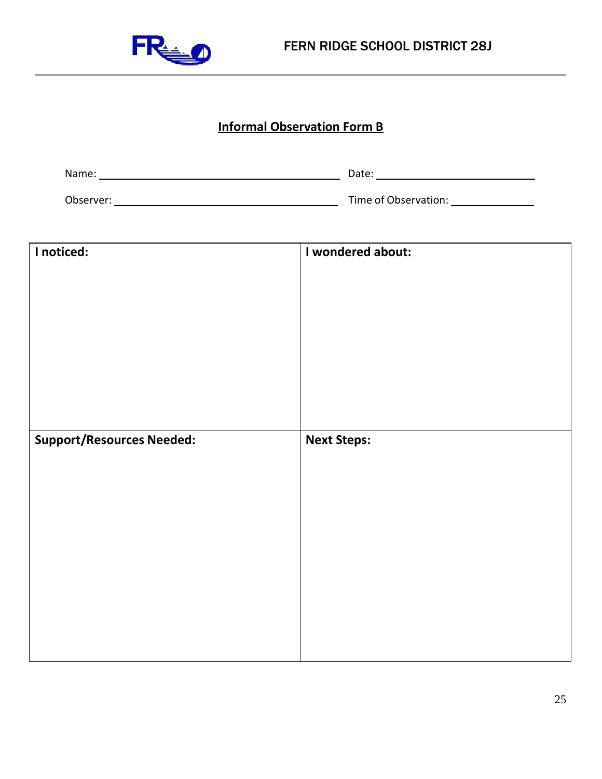

# **Informal Observation Form B**

| Name:     | Date:                |
|-----------|----------------------|
| Observer: | Time of Observation: |

| I noticed:                       | I wondered about:  |
|----------------------------------|--------------------|
|                                  |                    |
|                                  |                    |
|                                  |                    |
|                                  |                    |
|                                  |                    |
|                                  |                    |
|                                  |                    |
| <b>Support/Resources Needed:</b> | <b>Next Steps:</b> |
|                                  |                    |
|                                  |                    |
|                                  |                    |
|                                  |                    |
|                                  |                    |
|                                  |                    |
|                                  |                    |
|                                  |                    |
|                                  |                    |
|                                  |                    |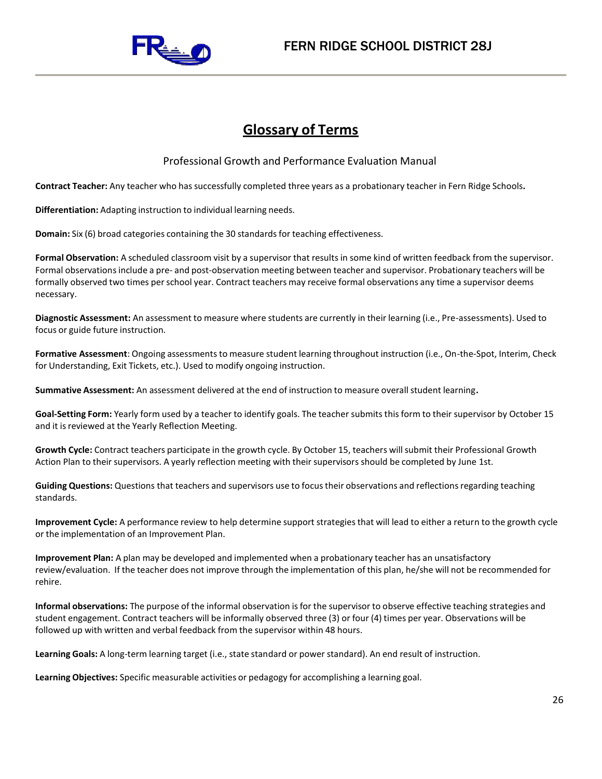

# **Glossary of Terms**

Professional Growth and Performance Evaluation Manual

**Contract Teacher:** Any teacher who hassuccessfully completed three years as a probationary teacher in Fern Ridge Schools**.**

**Differentiation:** Adapting instruction to individual learning needs.

**Domain:** Six (6) broad categories containing the 30 standardsfor teaching effectiveness.

**Formal Observation:** A scheduled classroom visit by a supervisor that resultsin some kind of written feedback from the supervisor. Formal observationsinclude a pre- and post-observation meeting between teacher and supervisor. Probationary teachers will be formally observed two times perschool year. Contract teachers may receive formal observations any time a supervisor deems necessary.

**Diagnostic Assessment:** An assessment to measure where students are currently in their learning (i.e., Pre-assessments). Used to focus or guide future instruction.

Formative Assessment: Ongoing assessments to measure student learning throughout instruction (i.e., On-the-Spot, Interim, Check for Understanding, Exit Tickets, etc.). Used to modify ongoing instruction.

**Summative Assessment:** An assessment delivered at the end of instruction to measure overall student learning.

**Goal-Setting Form:** Yearly form used by a teacher to identify goals. The teacher submitsthisform to their supervisor by October 15 and it is reviewed at the Yearly Reflection Meeting.

**Growth Cycle:** Contract teachers participate in the growth cycle. By October 15, teachers willsubmit their Professional Growth Action Plan to their supervisors. A yearly reflection meeting with their supervisors should be completed by June 1st.

**Guiding Questions:** Questions that teachers and supervisors use to focustheir observations and reflectionsregarding teaching standards.

**Improvement Cycle:** A performance review to help determine support strategiesthat will lead to either a return to the growth cycle or the implementation of an Improvement Plan.

**Improvement Plan:** A plan may be developed and implemented when a probationary teacher has an unsatisfactory review/evaluation. If the teacher does not improve through the implementation of this plan, he/she will not be recommended for rehire.

**Informal observations:** The purpose of the informal observation isfor the supervisor to observe effective teaching strategies and student engagement. Contract teachers will be informally observed three (3) or four (4) times per year. Observations will be followed up with written and verbal feedback from the supervisor within 48 hours.

**Learning Goals:** A long-term learning target (i.e., state standard or power standard). An end result of instruction.

**Learning Objectives:** Specific measurable activities or pedagogy for accomplishing a learning goal.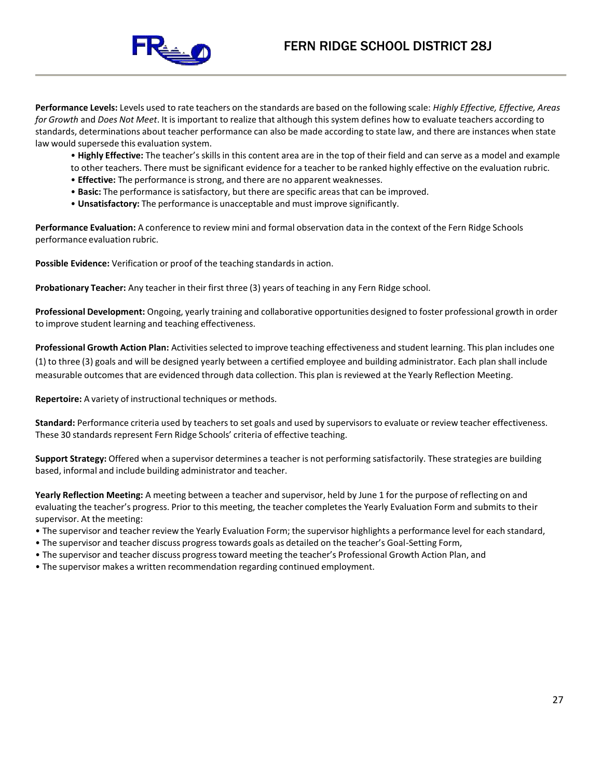

**Performance Levels:** Levels used to rate teachers on the standards are based on the following scale: *Highly Effective, Effective, Areas for Growth* and *Does Not Meet*. It is important to realize that although this system defines how to evaluate teachers according to standards, determinations about teacher performance can also be made according to state law, and there are instances when state law would supersede this evaluation system.

• **Highly Effective:** The teacher's skillsin this content area are in the top of their field and can serve as a model and example to other teachers. There must be significant evidence for a teacher to be ranked highly effective on the evaluation rubric.

- **Effective:** The performance is strong, and there are no apparent weaknesses.
- **Basic:** The performance is satisfactory, but there are specific areasthat can be improved.
- **Unsatisfactory:** The performance is unacceptable and must improve significantly.

**Performance Evaluation:** A conference to review mini and formal observation data in the context of the Fern Ridge Schools performance evaluation rubric.

Possible Evidence: Verification or proof of the teaching standards in action.

**Probationary Teacher:** Any teacher in their first three (3) years of teaching in any Fern Ridge school.

**Professional Development:** Ongoing, yearly training and collaborative opportunities designed to foster professional growth in order to improve student learning and teaching effectiveness.

**Professional Growth Action Plan:** Activitiesselected to improve teaching effectiveness and student learning. This plan includes one (1) to three (3) goals and will be designed yearly between a certified employee and building administrator. Each plan shall include measurable outcomes that are evidenced through data collection. This plan is reviewed at the Yearly Reflection Meeting.

**Repertoire:** A variety of instructional techniques or methods.

Standard: Performance criteria used by teachers to set goals and used by supervisors to evaluate or review teacher effectiveness. These 30 standards represent Fern Ridge Schools' criteria of effective teaching.

**Support Strategy:** Offered when a supervisor determines a teacher is not performing satisfactorily. These strategies are building based, informal and include building administrator and teacher.

**Yearly Reflection Meeting:** A meeting between a teacher and supervisor, held by June 1 for the purpose of reflecting on and evaluating the teacher's progress. Prior to this meeting, the teacher completesthe Yearly Evaluation Form and submits to their supervisor. At the meeting:

- The supervisor and teacher review the Yearly Evaluation Form; the supervisor highlights a performance level for each standard,
- The supervisor and teacher discuss progresstowards goals as detailed on the teacher's Goal-Setting Form,
- The supervisor and teacher discuss progresstoward meeting the teacher's Professional Growth Action Plan, and
- The supervisor makes a written recommendation regarding continued employment.